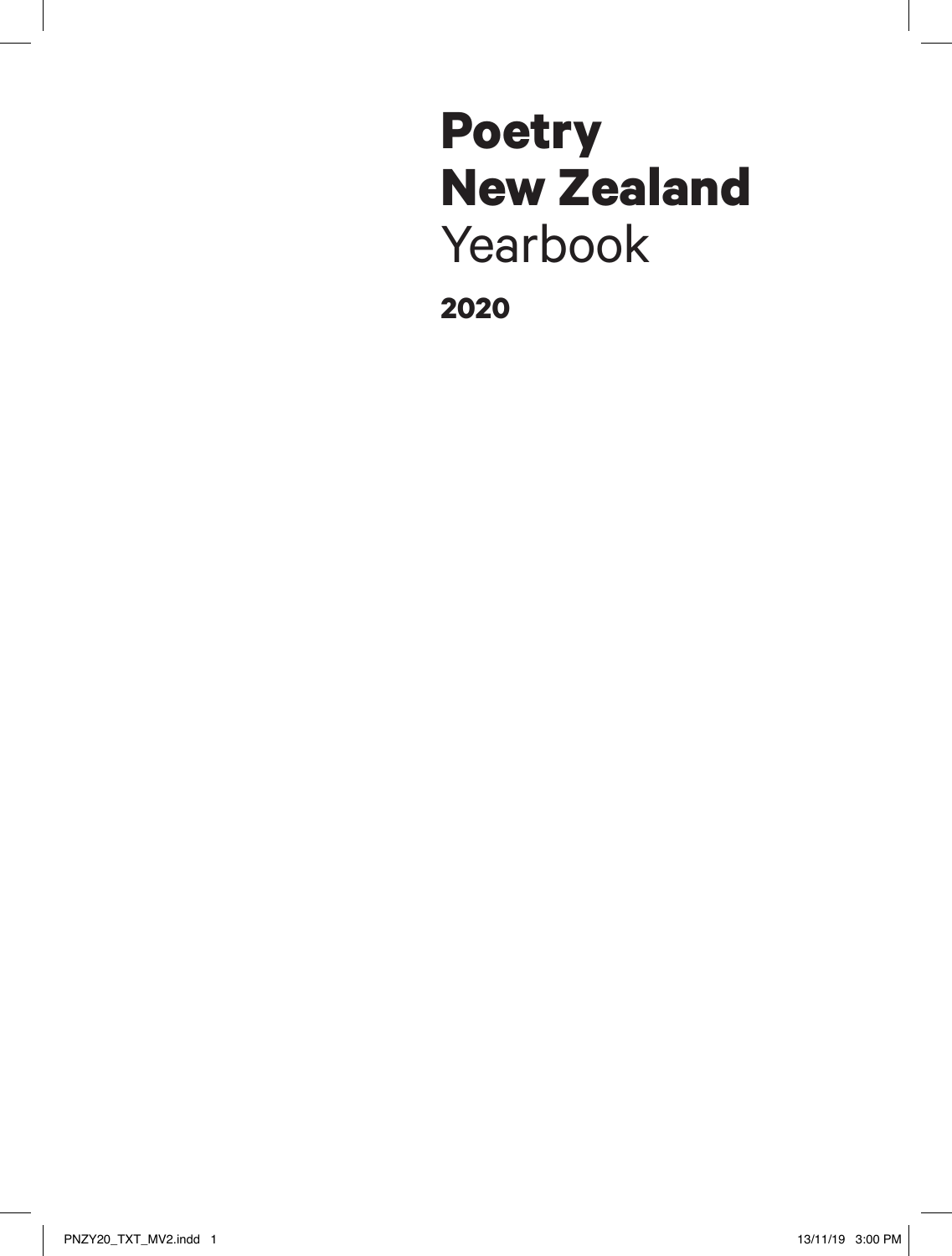# **Poetry New Zealand** Yearbook

**2020**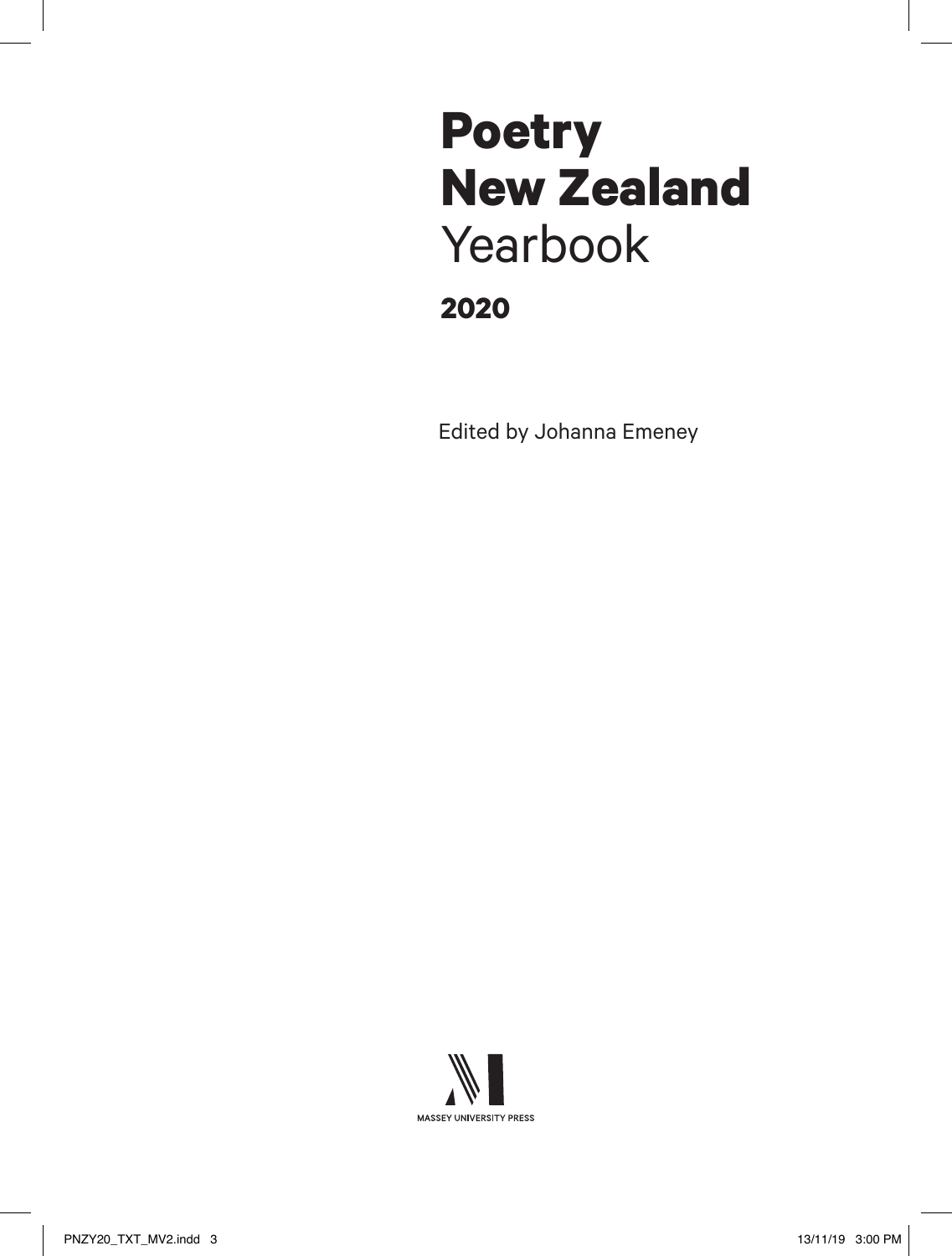## **2020 Poetry New Zealand** Yearbook

Edited by Johanna Emeney

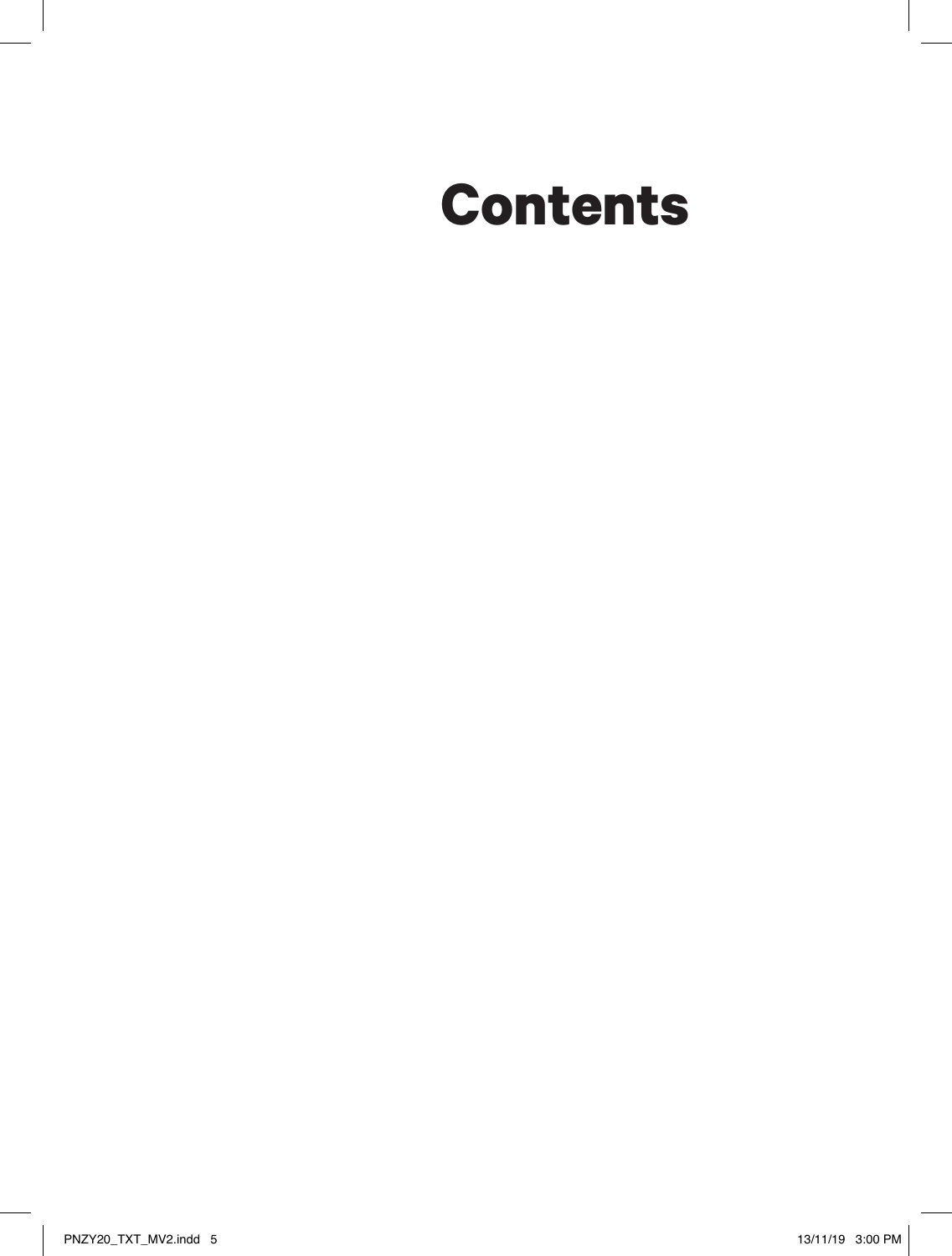# **Contents**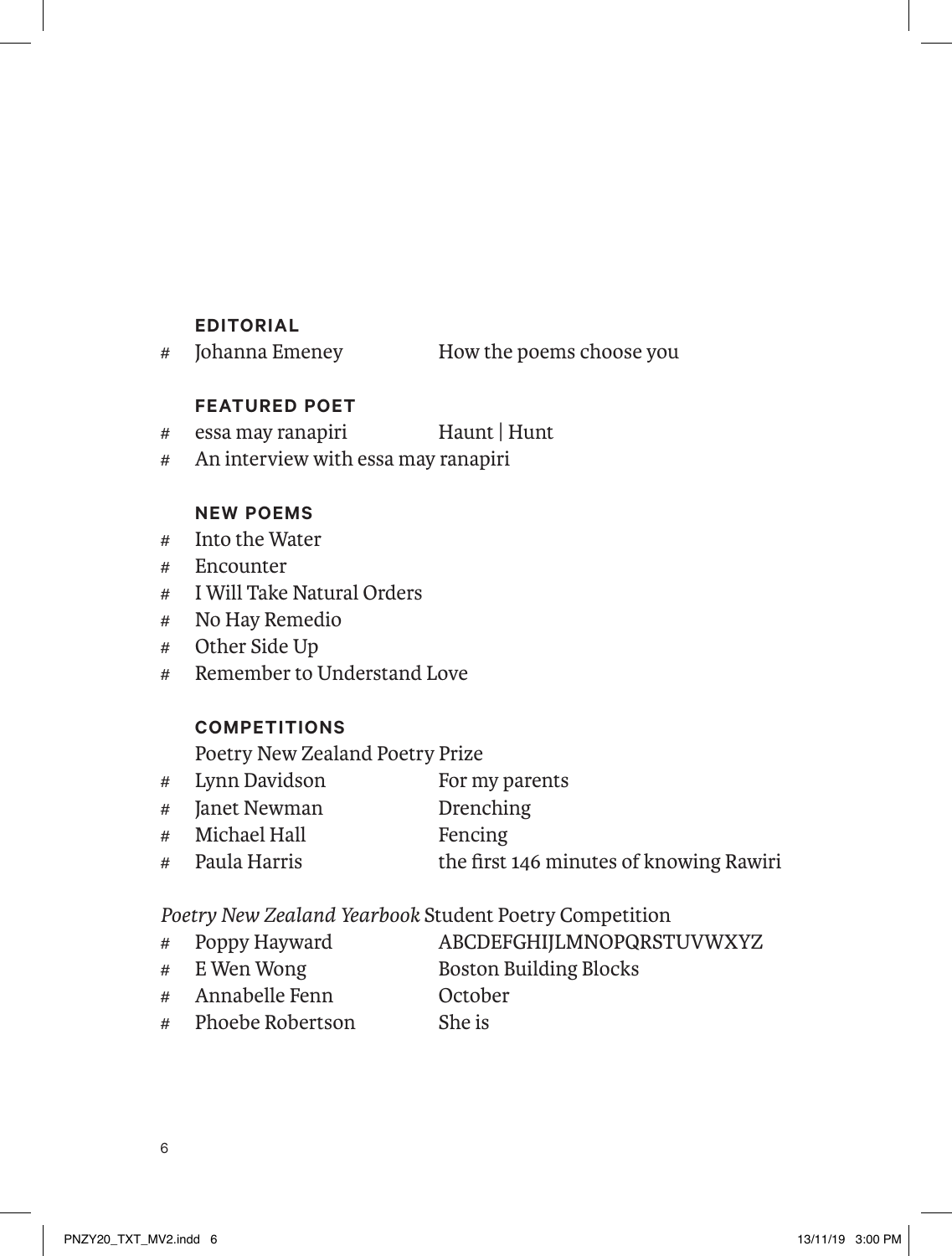#### **EDITORIAL**

# Johanna Emeney How the poems choose you

#### **FEATURED POET**

- # essa may ranapiri Haunt | Hunt
- # An interview with essa may ranapiri

#### **NEW POEMS**

- # Into the Water
- # Encounter
- # I Will Take Natural Orders
- # No Hay Remedio
- # Other Side Up
- # Remember to Understand Love

### **COMPETITIONS**

Poetry New Zealand Poetry Prize

- # Lynn Davidson For my parents
- # Janet Newman Drenching
- # Michael Hall Fencing
- # Paula Harris the first 146 minutes of knowing Rawiri

*Poetry New Zealand Yearbook* Student Poetry Competition

- # Poppy Hayward ABCDEFGHIJLMNOPQRSTUVWXYZ
- # E Wen Wong Boston Building Blocks
- # Annabelle Fenn October
- # Phoebe Robertson She is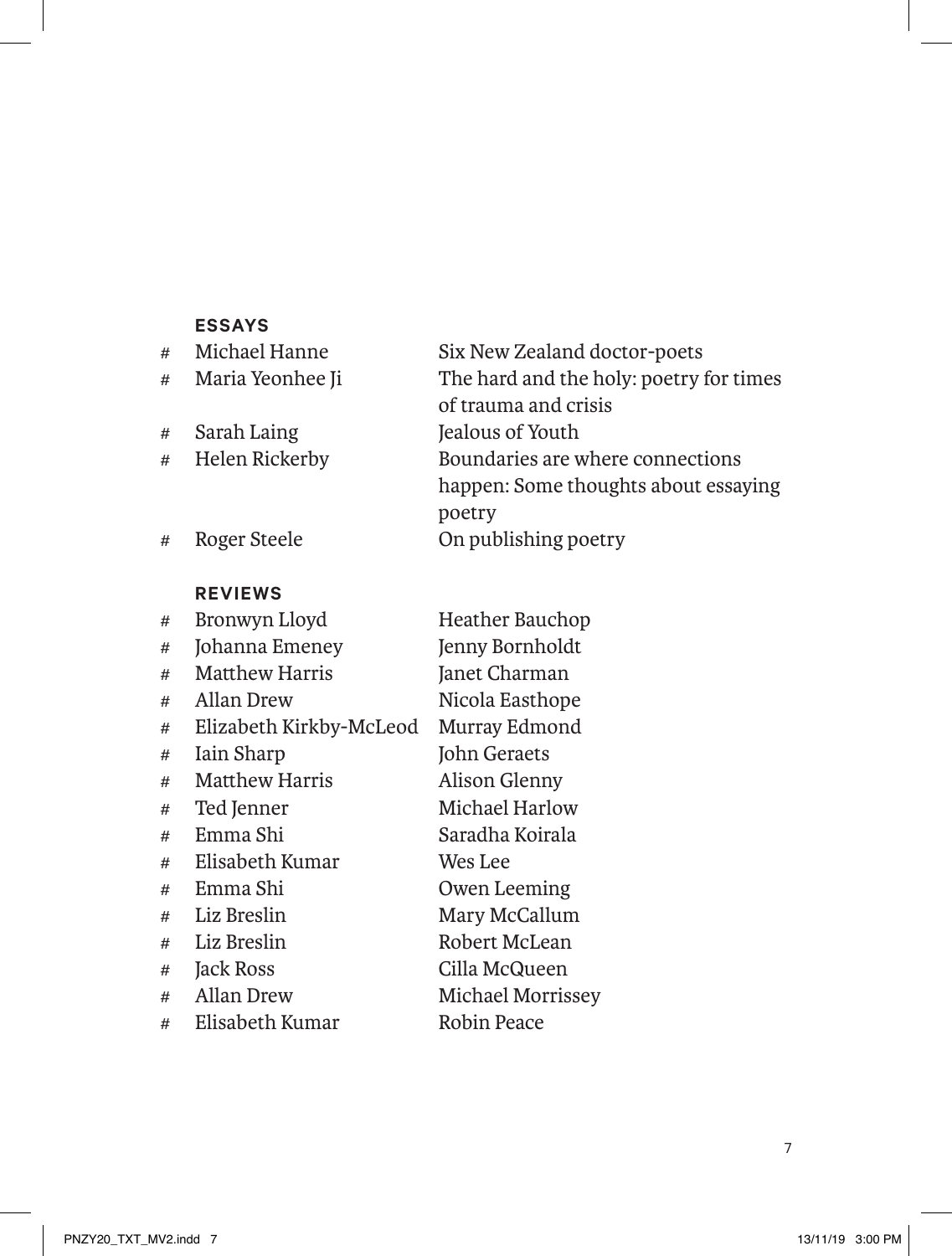#### **ESSAYS**

| #              | Michael Hanne    | Six New Zealand doctor-poets            |
|----------------|------------------|-----------------------------------------|
| #              | Maria Yeonhee Ji | The hard and the holy: poetry for times |
|                |                  | of trauma and crisis                    |
| #              | Sarah Laing      | Jealous of Youth                        |
| #              | Helen Rickerby   | Boundaries are where connections        |
|                |                  | happen: Some thoughts about essaying    |
|                |                  | poetry                                  |
| #              | Roger Steele     | On publishing poetry                    |
|                |                  |                                         |
|                | <b>REVIEWS</b>   |                                         |
| $\overline{+}$ | Rropunun Lloyd   | Heather Rauchon                         |

| # | Bronwyn Lloyd           | Heather Bauchop   |
|---|-------------------------|-------------------|
| # | Johanna Emeney          | Jenny Bornholdt   |
| # | Matthew Harris          | Janet Charman     |
| # | Allan Drew              | Nicola Easthope   |
| # | Elizabeth Kirkby-McLeod | Murray Edmond     |
| # | Iain Sharp              | John Geraets      |
| # | <b>Matthew Harris</b>   | Alison Glenny     |
| # | Ted Jenner              | Michael Harlow    |
| # | Emma Shi                | Saradha Koirala   |
| # | Elisabeth Kumar         | Wes Lee           |
| # | Emma Shi                | Owen Leeming      |
| # | Liz Breslin             | Mary McCallum     |
| # | Liz Breslin             | Robert McLean     |
| # | Jack Ross               | Cilla McQueen     |
| # | Allan Drew              | Michael Morrissey |
| # | Elisabeth Kumar         | Robin Peace       |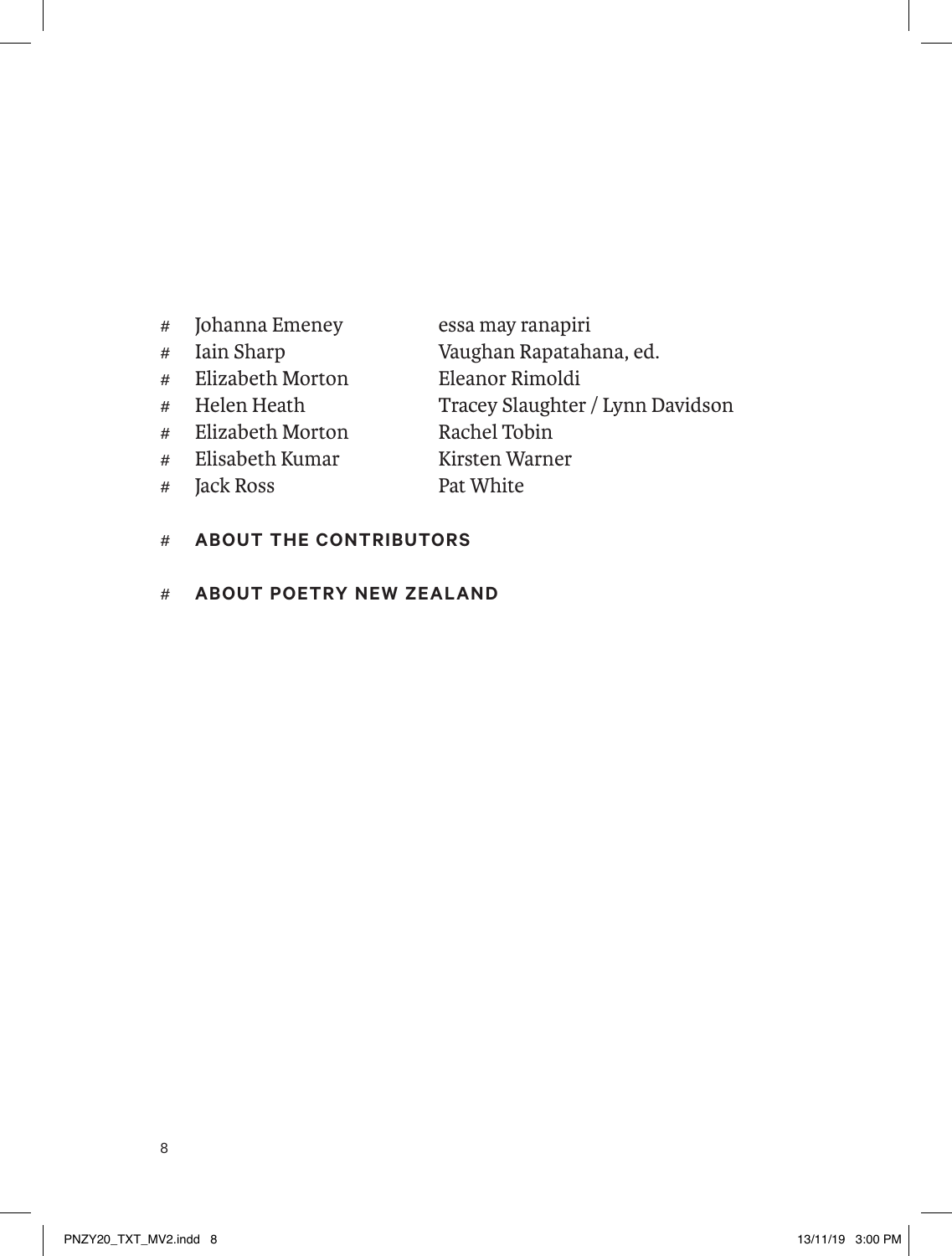- # Johanna Emeney essa may ranapiri
- 
- # Elizabeth Morton<br># Helen Heath
- 
- # Elizabeth Morton Rachel Tobin
- # Elisabeth Kumar Kirsten Warner<br># Tack Ross Pat White
- $#$  Jack Ross
- # Iain Sharp Vaughan Rapatahana, ed.
	-
	- Tracey Slaughter / Lynn Davidson<br>Rachel Tobin
	-
	-
- # **ABOUT THE CONTRIBUTORS**
- # **ABOUT POETRY NEW ZEALAND**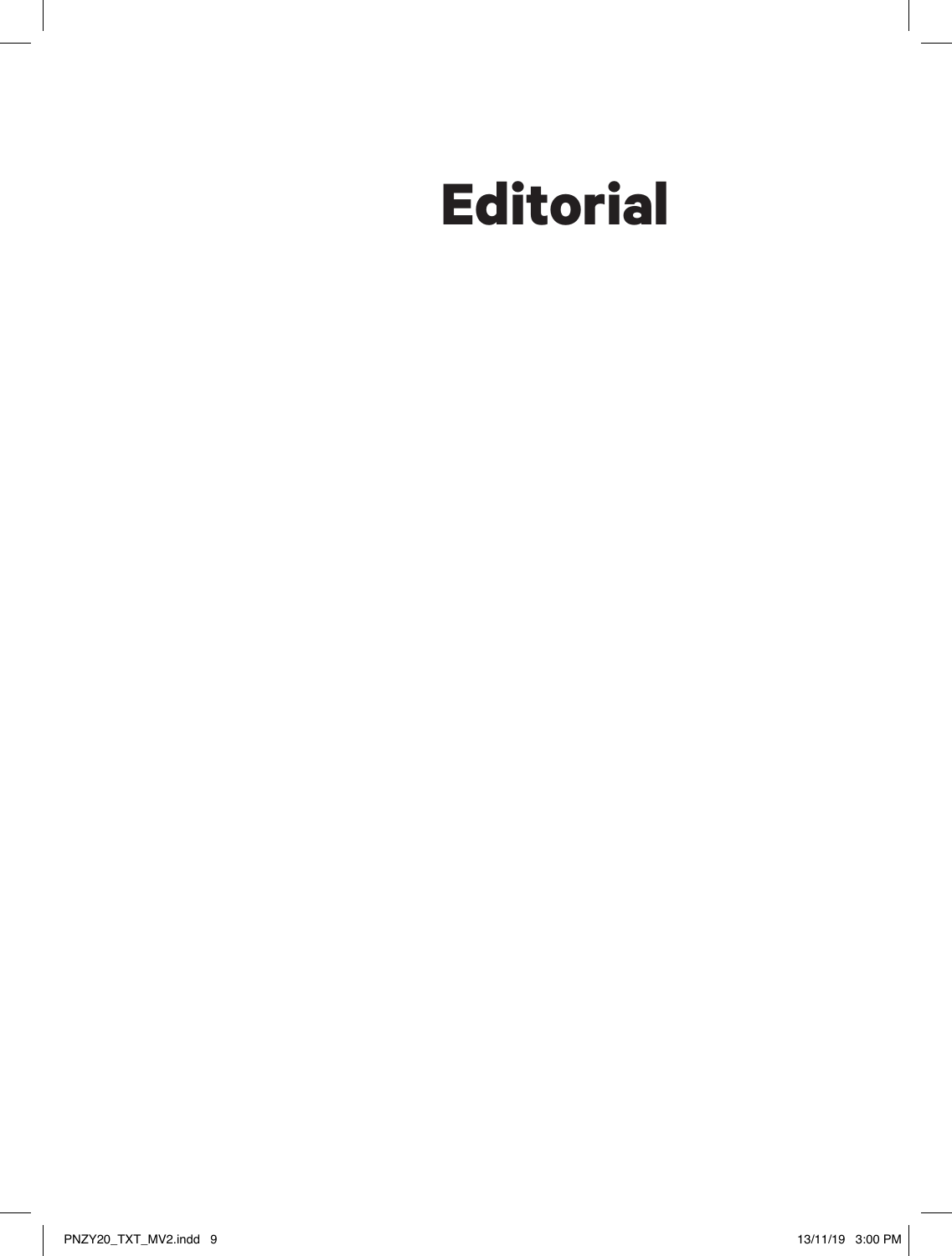# **Editorial**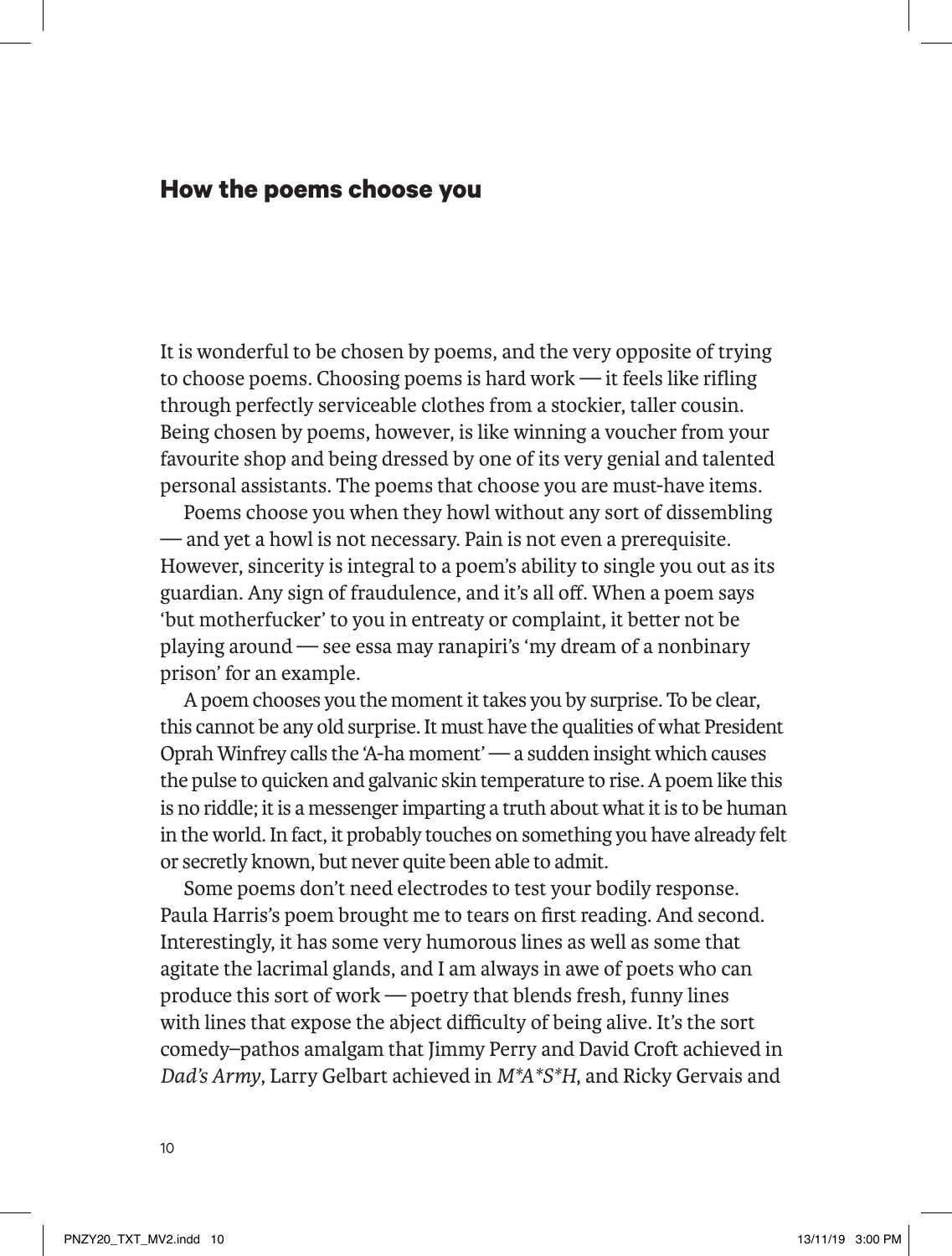### **How the poems choose you**

It is wonderful to be chosen by poems, and the very opposite of trying to choose poems. Choosing poems is hard work — it feels like rifling through perfectly serviceable clothes from a stockier, taller cousin. Being chosen by poems, however, is like winning a voucher from your favourite shop and being dressed by one of its very genial and talented personal assistants. The poems that choose you are must-have items.

Poems choose you when they howl without any sort of dissembling — and yet a howl is not necessary. Pain is not even a prerequisite. However, sincerity is integral to a poem's ability to single you out as its guardian. Any sign of fraudulence, and it's all off. When a poem says 'but motherfucker' to you in entreaty or complaint, it better not be playing around — see essa may ranapiri's 'my dream of a nonbinary prison' for an example.

A poem chooses you the moment it takes you by surprise. To be clear, this cannot be any old surprise. It must have the qualities of what President Oprah Winfrey calls the 'A-ha moment' — a sudden insight which causes the pulse to quicken and galvanic skin temperature to rise. A poem like this is no riddle; it is a messenger imparting a truth about what it is to be human in the world. In fact, it probably touches on something you have already felt or secretly known, but never quite been able to admit.

Some poems don't need electrodes to test your bodily response. Paula Harris's poem brought me to tears on first reading. And second. Interestingly, it has some very humorous lines as well as some that agitate the lacrimal glands, and I am always in awe of poets who can produce this sort of work — poetry that blends fresh, funny lines with lines that expose the abject difficulty of being alive. It's the sort comedy–pathos amalgam that Jimmy Perry and David Croft achieved in *Dad's Army*, Larry Gelbart achieved in *M\*A\*S\*H*, and Ricky Gervais and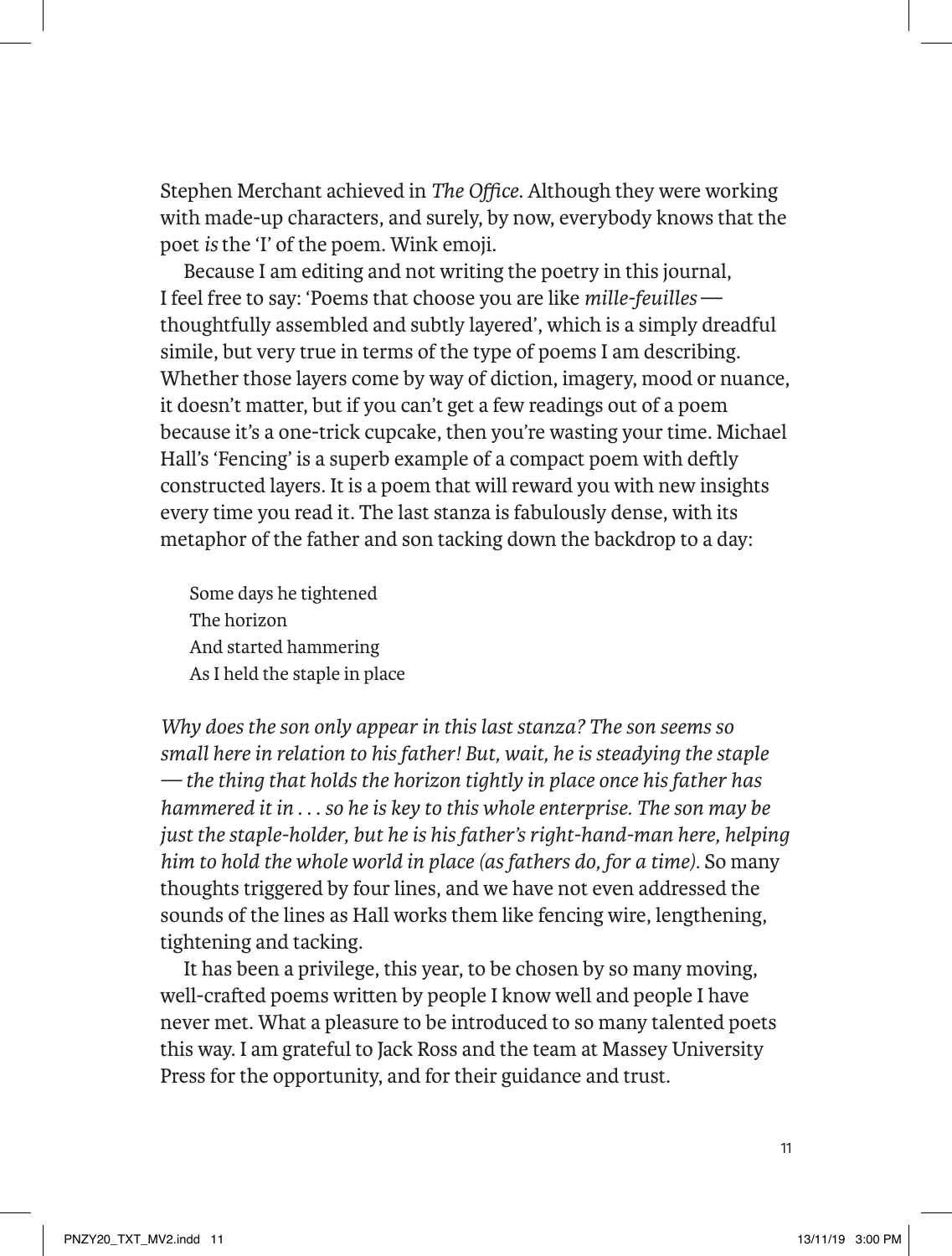Stephen Merchant achieved in *The Office*. Although they were working with made-up characters, and surely, by now, everybody knows that the poet *is* the 'I' of the poem. Wink emoji.

Because I am editing and not writing the poetry in this journal, I feel free to say: 'Poems that choose you are like *mille-feuilles* thoughtfully assembled and subtly layered', which is a simply dreadful simile, but very true in terms of the type of poems I am describing. Whether those layers come by way of diction, imagery, mood or nuance, it doesn't matter, but if you can't get a few readings out of a poem because it's a one-trick cupcake, then you're wasting your time. Michael Hall's 'Fencing' is a superb example of a compact poem with deftly constructed layers. It is a poem that will reward you with new insights every time you read it. The last stanza is fabulously dense, with its metaphor of the father and son tacking down the backdrop to a day:

Some days he tightened The horizon And started hammering As I held the staple in place

*Why does the son only appear in this last stanza? The son seems so small here in relation to his father! But, wait, he is steadying the staple — the thing that holds the horizon tightly in place once his father has hammered it in* . . . *so he is key to this whole enterprise. The son may be just the staple-holder, but he is his father's right-hand-man here, helping him to hold the whole world in place (as fathers do, for a time).* So many thoughts triggered by four lines, and we have not even addressed the sounds of the lines as Hall works them like fencing wire, lengthening, tightening and tacking.

It has been a privilege, this year, to be chosen by so many moving, well-crafted poems written by people I know well and people I have never met. What a pleasure to be introduced to so many talented poets this way. I am grateful to Jack Ross and the team at Massey University Press for the opportunity, and for their guidance and trust.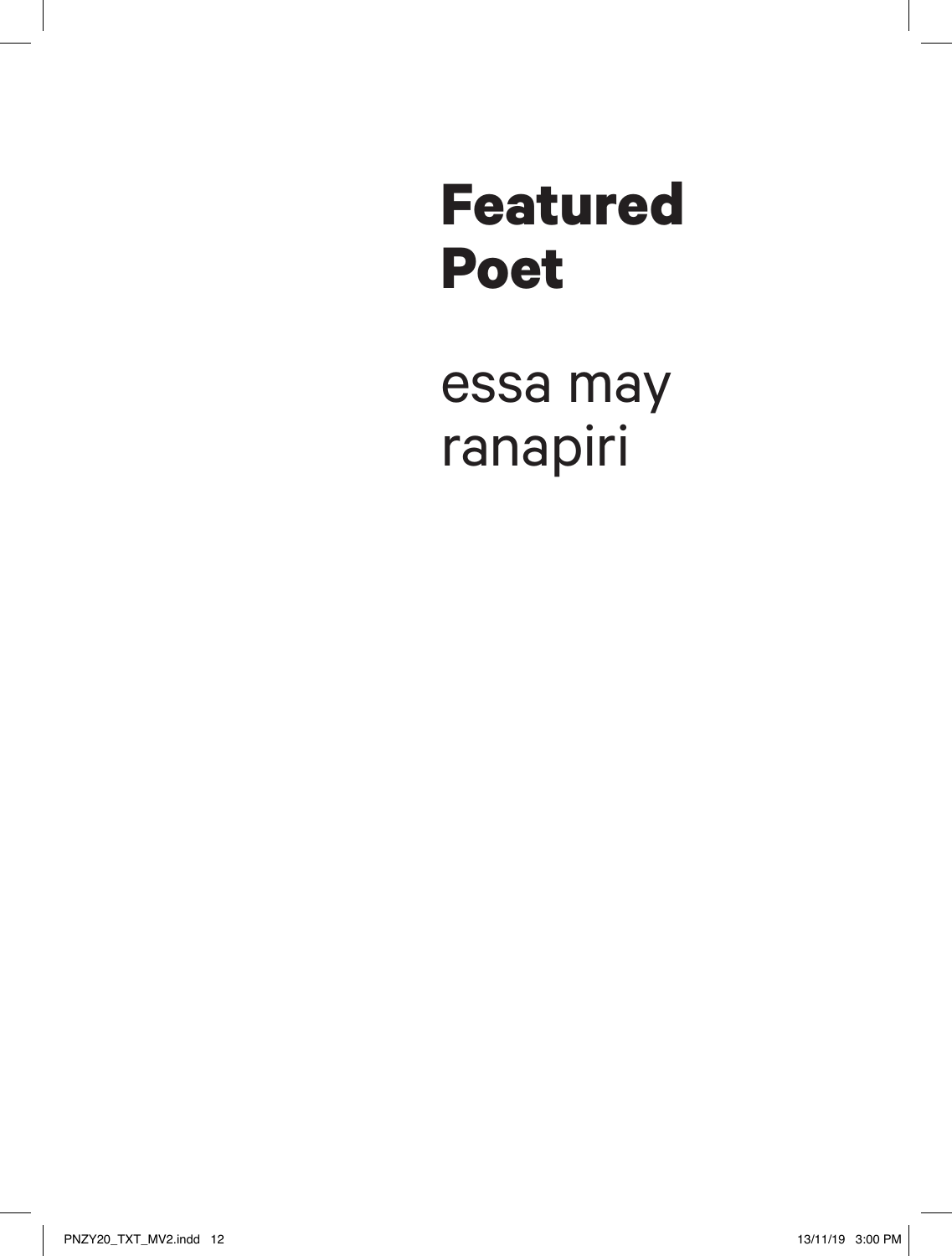# **Featured Poet**

essa may ranapiri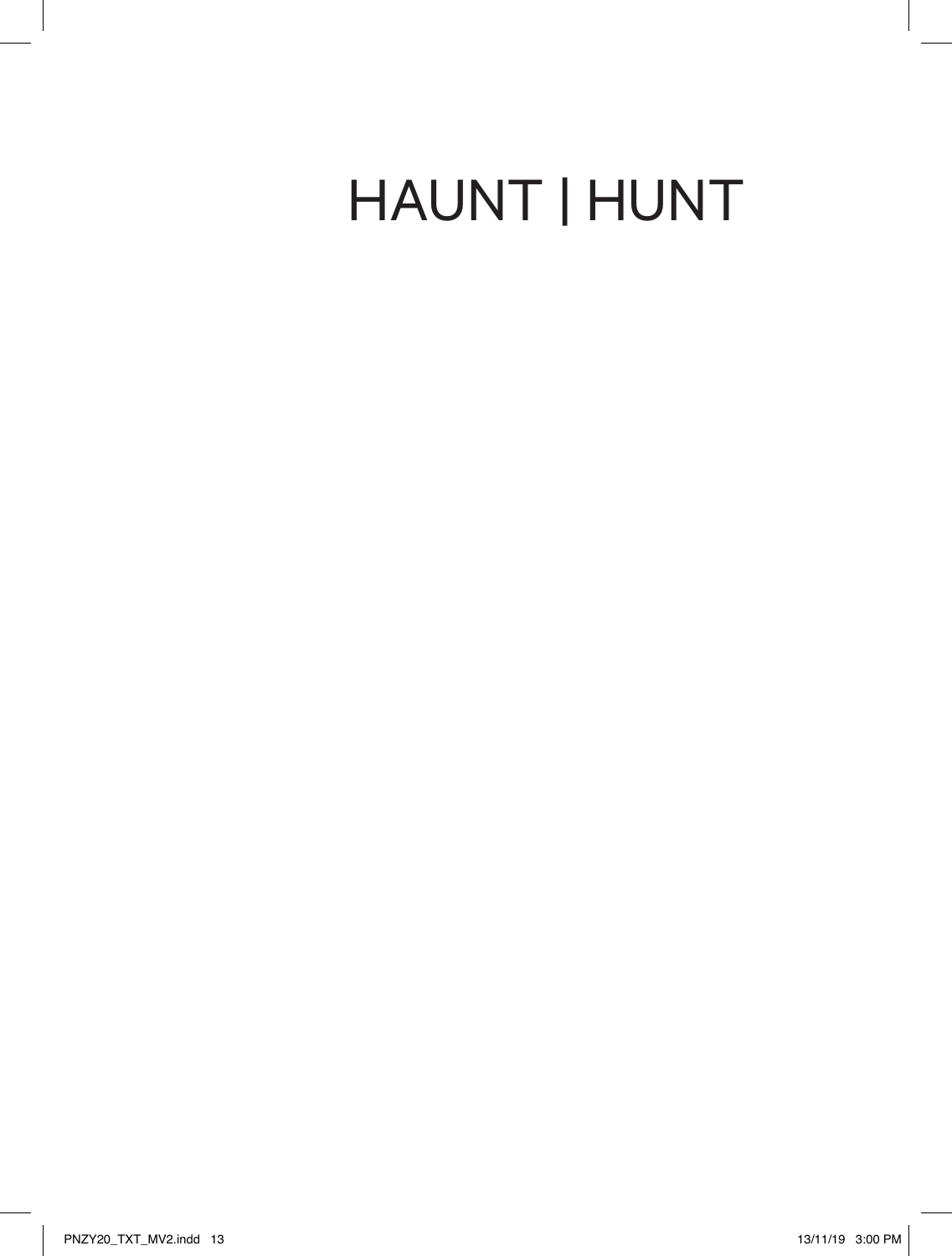# HAUNT | HUNT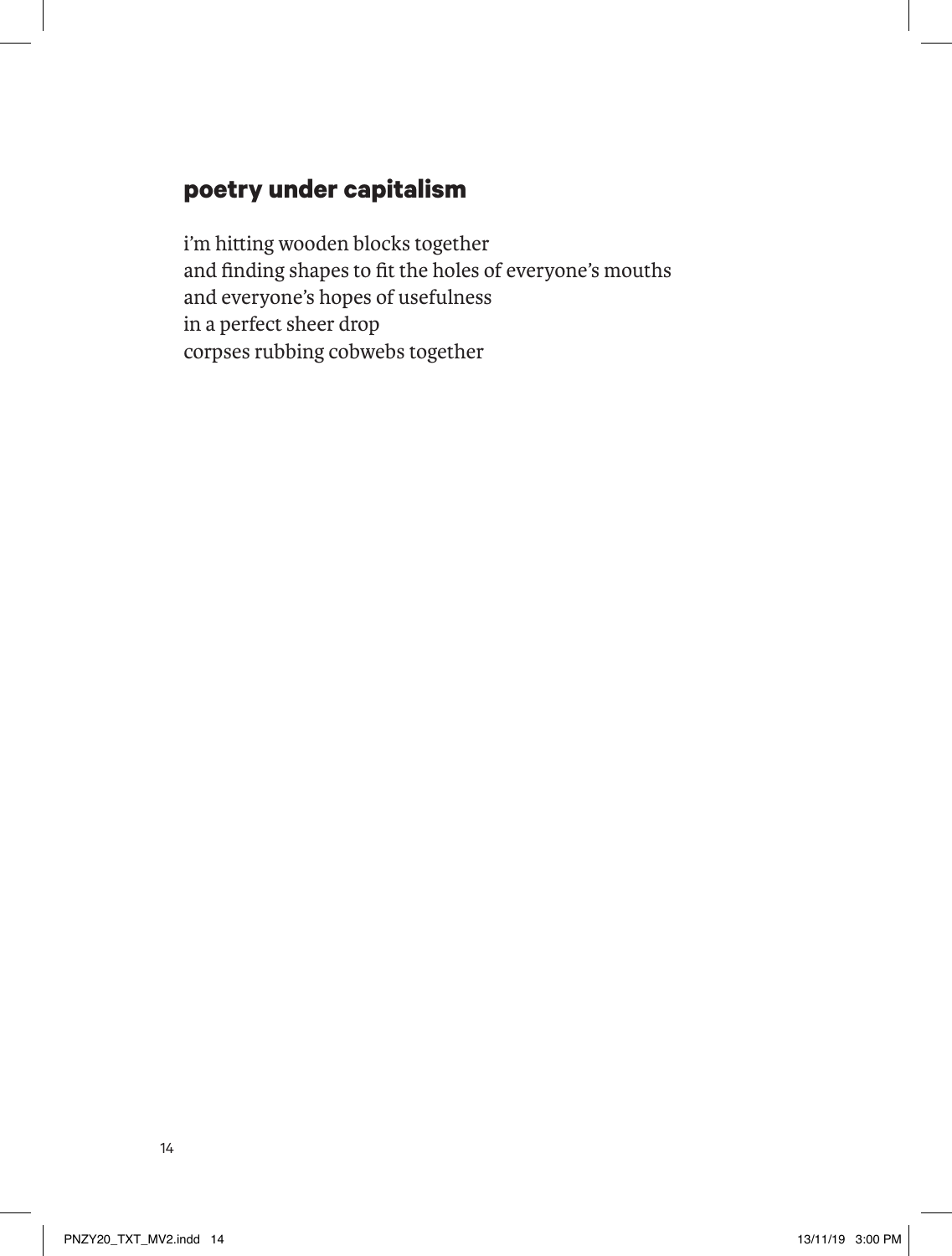### **poetry under capitalism**

i'm hitting wooden blocks together and finding shapes to fit the holes of everyone's mouths and everyone's hopes of usefulness in a perfect sheer drop corpses rubbing cobwebs together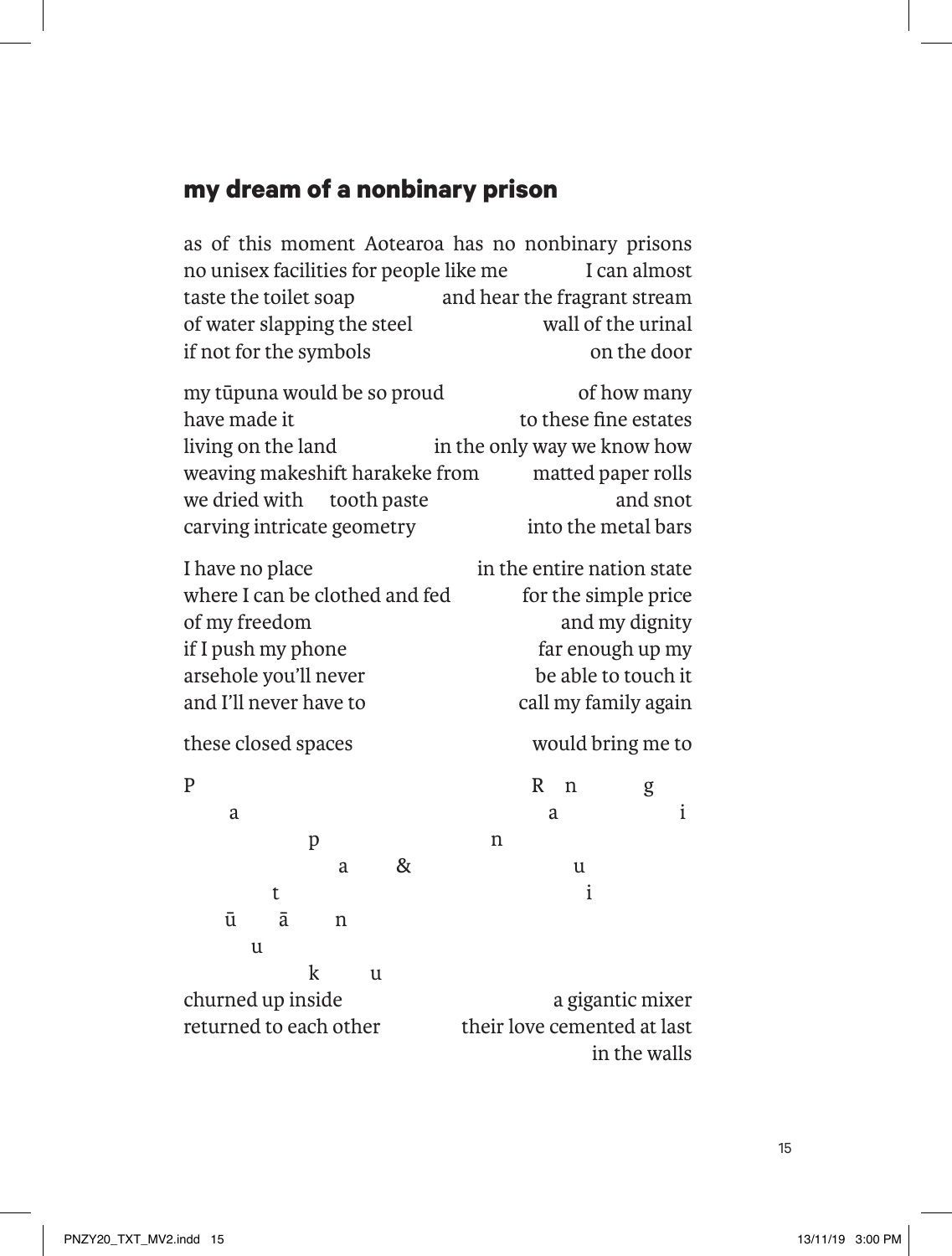## **my dream of a nonbinary prison**

as of this moment Aotearoa has no nonbinary prisons no unisex facilities for people like me I can almost taste the toilet soap and hear the fragrant stream of water slapping the steel wall of the urinal if not for the symbols on the door

| my tūpuna would be so proud     | of how many                 |
|---------------------------------|-----------------------------|
| have made it                    | to these fine estates       |
| living on the land              | in the only way we know how |
| weaving makeshift harakeke from | matted paper rolls          |
| we dried with tooth paste       | and snot                    |
| carving intricate geometry      | into the metal bars         |

I have no place in the entire nation state where I can be clothed and fed for the simple price of my freedom and my dignity if I push my phone far enough up my arsehole you'll never be able to touch it and I'll never have to call my family again

these closed spaces would bring me to

P R n g a i p n a & u t i ū ā n u k u churned up inside a gigantic mixer returned to each other their love cemented at last in the walls